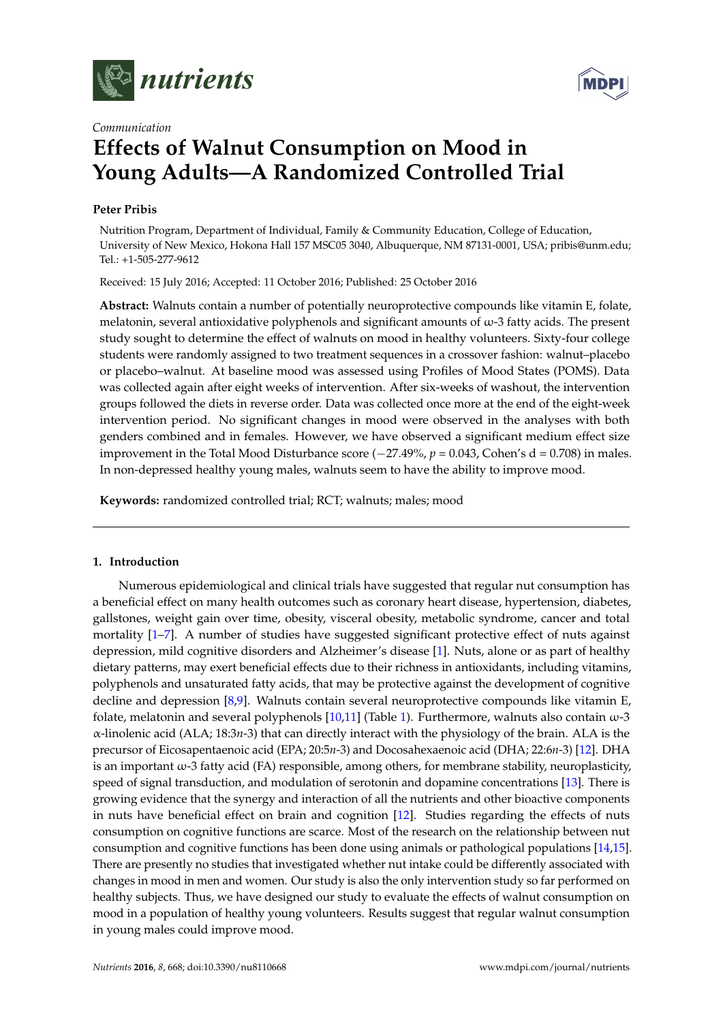



# *Communication* **Effects of Walnut Consumption on Mood in Young Adults—A Randomized Controlled Trial**

# **Peter Pribis**

Nutrition Program, Department of Individual, Family & Community Education, College of Education, University of New Mexico, Hokona Hall 157 MSC05 3040, Albuquerque, NM 87131-0001, USA; pribis@unm.edu; Tel.: +1-505-277-9612

Received: 15 July 2016; Accepted: 11 October 2016; Published: 25 October 2016

**Abstract:** Walnuts contain a number of potentially neuroprotective compounds like vitamin E, folate, melatonin, several antioxidative polyphenols and significant amounts of  $\omega$ -3 fatty acids. The present study sought to determine the effect of walnuts on mood in healthy volunteers. Sixty-four college students were randomly assigned to two treatment sequences in a crossover fashion: walnut–placebo or placebo–walnut. At baseline mood was assessed using Profiles of Mood States (POMS). Data was collected again after eight weeks of intervention. After six-weeks of washout, the intervention groups followed the diets in reverse order. Data was collected once more at the end of the eight-week intervention period. No significant changes in mood were observed in the analyses with both genders combined and in females. However, we have observed a significant medium effect size improvement in the Total Mood Disturbance score (−27.49%, *p* = 0.043, Cohen's d = 0.708) in males. In non-depressed healthy young males, walnuts seem to have the ability to improve mood.

**Keywords:** randomized controlled trial; RCT; walnuts; males; mood

# **1. Introduction**

Numerous epidemiological and clinical trials have suggested that regular nut consumption has a beneficial effect on many health outcomes such as coronary heart disease, hypertension, diabetes, gallstones, weight gain over time, obesity, visceral obesity, metabolic syndrome, cancer and total mortality [\[1](#page-6-0)[–7\]](#page-7-0). A number of studies have suggested significant protective effect of nuts against depression, mild cognitive disorders and Alzheimer's disease [\[1\]](#page-6-0). Nuts, alone or as part of healthy dietary patterns, may exert beneficial effects due to their richness in antioxidants, including vitamins, polyphenols and unsaturated fatty acids, that may be protective against the development of cognitive decline and depression [\[8](#page-7-1)[,9\]](#page-7-2). Walnuts contain several neuroprotective compounds like vitamin E, folate, melatonin and several polyphenols  $[10,11]$  $[10,11]$  (Table [1\)](#page-1-0). Furthermore, walnuts also contain  $\omega$ -3 α-linolenic acid (ALA; 18:3*n*-3) that can directly interact with the physiology of the brain. ALA is the precursor of Eicosapentaenoic acid (EPA; 20:5*n*-3) and Docosahexaenoic acid (DHA; 22:6*n*-3) [\[12\]](#page-7-5). DHA is an important  $\omega$ -3 fatty acid (FA) responsible, among others, for membrane stability, neuroplasticity, speed of signal transduction, and modulation of serotonin and dopamine concentrations [\[13\]](#page-7-6). There is growing evidence that the synergy and interaction of all the nutrients and other bioactive components in nuts have beneficial effect on brain and cognition [\[12\]](#page-7-5). Studies regarding the effects of nuts consumption on cognitive functions are scarce. Most of the research on the relationship between nut consumption and cognitive functions has been done using animals or pathological populations [\[14](#page-7-7)[,15\]](#page-7-8). There are presently no studies that investigated whether nut intake could be differently associated with changes in mood in men and women. Our study is also the only intervention study so far performed on healthy subjects. Thus, we have designed our study to evaluate the effects of walnut consumption on mood in a population of healthy young volunteers. Results suggest that regular walnut consumption in young males could improve mood.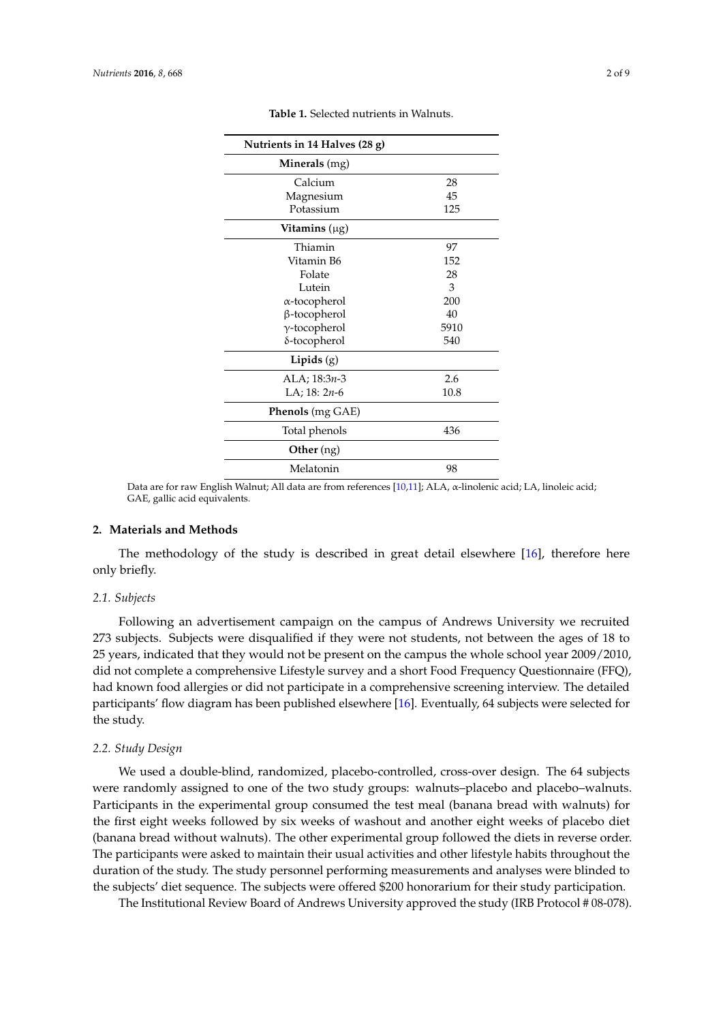<span id="page-1-0"></span>

| Nutrients in 14 Halves (28 g) |      |
|-------------------------------|------|
| Minerals (mg)                 |      |
| Calcium                       | 28   |
| Magnesium                     | 45   |
| Potassium                     | 125  |
| Vitamins $(\mu g)$            |      |
| Thiamin                       | 97   |
| Vitamin B6                    | 152  |
| Folate                        | 28   |
| Lutein                        | 3    |
| α-tocopherol                  | 200  |
| β-tocopherol                  | 40   |
| $\gamma$ -tocopherol          | 5910 |
| δ-tocopherol                  | 540  |
| Lipids $(g)$                  |      |
| ALA; $18:3n-3$                | 2.6  |
| LA; $18: 2n-6$                | 10.8 |
| Phenols (mg GAE)              |      |
| Total phenols                 | 436  |
| Other (ng)                    |      |
| Melatonin                     | 98   |

**Table 1.** Selected nutrients in Walnuts.

Data are for raw English Walnut; All data are from references [\[10](#page-7-3)[,11\]](#page-7-4); ALA, α-linolenic acid; LA, linoleic acid; GAE, gallic acid equivalents.

#### **2. Materials and Methods**

The methodology of the study is described in great detail elsewhere [\[16\]](#page-7-9), therefore here only briefly.

#### *2.1. Subjects*

Following an advertisement campaign on the campus of Andrews University we recruited 273 subjects. Subjects were disqualified if they were not students, not between the ages of 18 to 25 years, indicated that they would not be present on the campus the whole school year 2009/2010, did not complete a comprehensive Lifestyle survey and a short Food Frequency Questionnaire (FFQ), had known food allergies or did not participate in a comprehensive screening interview. The detailed participants' flow diagram has been published elsewhere [\[16\]](#page-7-9). Eventually, 64 subjects were selected for the study.

### *2.2. Study Design*

We used a double-blind, randomized, placebo-controlled, cross-over design. The 64 subjects were randomly assigned to one of the two study groups: walnuts–placebo and placebo–walnuts. Participants in the experimental group consumed the test meal (banana bread with walnuts) for the first eight weeks followed by six weeks of washout and another eight weeks of placebo diet (banana bread without walnuts). The other experimental group followed the diets in reverse order. The participants were asked to maintain their usual activities and other lifestyle habits throughout the duration of the study. The study personnel performing measurements and analyses were blinded to the subjects' diet sequence. The subjects were offered \$200 honorarium for their study participation.

The Institutional Review Board of Andrews University approved the study (IRB Protocol # 08-078).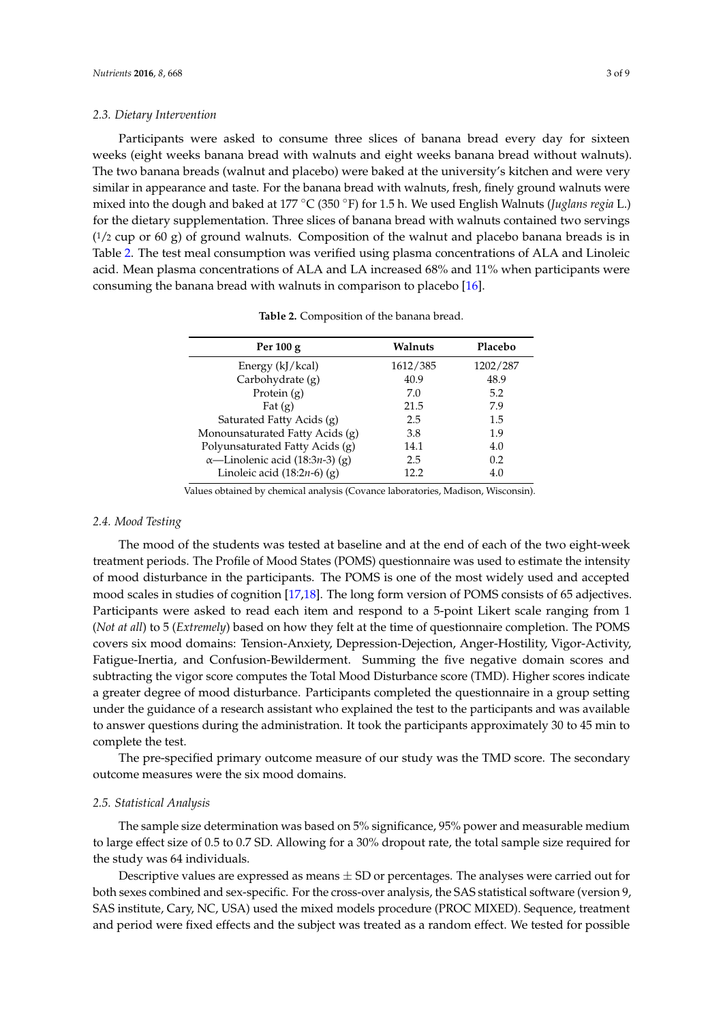#### *2.3. Dietary Intervention*

Participants were asked to consume three slices of banana bread every day for sixteen weeks (eight weeks banana bread with walnuts and eight weeks banana bread without walnuts). The two banana breads (walnut and placebo) were baked at the university's kitchen and were very similar in appearance and taste. For the banana bread with walnuts, fresh, finely ground walnuts were mixed into the dough and baked at 177 ◦C (350 ◦F) for 1.5 h. We used English Walnuts (*Juglans regia* L.) for the dietary supplementation. Three slices of banana bread with walnuts contained two servings  $(1/2 \text{ cup or } 60 \text{ g})$  of ground walnuts. Composition of the walnut and placebo banana breads is in Table [2.](#page-2-0) The test meal consumption was verified using plasma concentrations of ALA and Linoleic acid. Mean plasma concentrations of ALA and LA increased 68% and 11% when participants were consuming the banana bread with walnuts in comparison to placebo [\[16\]](#page-7-9).

<span id="page-2-0"></span>

| Per $100 g$                                     | Walnuts  | Placebo  |
|-------------------------------------------------|----------|----------|
| Energy (kJ/kcal)                                | 1612/385 | 1202/287 |
| Carbohydrate (g)                                | 40.9     | 48.9     |
| Protein $(g)$                                   | 7.0      | 5.2      |
| Fat $(g)$                                       | 21.5     | 7.9      |
| Saturated Fatty Acids (g)                       | 2.5      | 1.5      |
| Monounsaturated Fatty Acids (g)                 | 3.8      | 1.9      |
| Polyunsaturated Fatty Acids (g)                 | 14.1     | 4.0      |
| $\alpha$ —Linolenic acid (18:3 <i>n</i> -3) (g) | 2.5      | 0.2      |
| Linoleic acid $(18:2n-6)$ (g)                   | 12 2     | 4.0      |

**Table 2.** Composition of the banana bread.

Values obtained by chemical analysis (Covance laboratories, Madison, Wisconsin).

# *2.4. Mood Testing*

The mood of the students was tested at baseline and at the end of each of the two eight-week treatment periods. The Profile of Mood States (POMS) questionnaire was used to estimate the intensity of mood disturbance in the participants. The POMS is one of the most widely used and accepted mood scales in studies of cognition [\[17](#page-7-10)[,18\]](#page-7-11). The long form version of POMS consists of 65 adjectives. Participants were asked to read each item and respond to a 5-point Likert scale ranging from 1 (*Not at all*) to 5 (*Extremely*) based on how they felt at the time of questionnaire completion. The POMS covers six mood domains: Tension-Anxiety, Depression-Dejection, Anger-Hostility, Vigor-Activity, Fatigue-Inertia, and Confusion-Bewilderment. Summing the five negative domain scores and subtracting the vigor score computes the Total Mood Disturbance score (TMD). Higher scores indicate a greater degree of mood disturbance. Participants completed the questionnaire in a group setting under the guidance of a research assistant who explained the test to the participants and was available to answer questions during the administration. It took the participants approximately 30 to 45 min to complete the test.

The pre-specified primary outcome measure of our study was the TMD score. The secondary outcome measures were the six mood domains.

#### *2.5. Statistical Analysis*

The sample size determination was based on 5% significance, 95% power and measurable medium to large effect size of 0.5 to 0.7 SD. Allowing for a 30% dropout rate, the total sample size required for the study was 64 individuals.

Descriptive values are expressed as means  $\pm$  SD or percentages. The analyses were carried out for both sexes combined and sex-specific. For the cross-over analysis, the SAS statistical software (version 9, SAS institute, Cary, NC, USA) used the mixed models procedure (PROC MIXED). Sequence, treatment and period were fixed effects and the subject was treated as a random effect. We tested for possible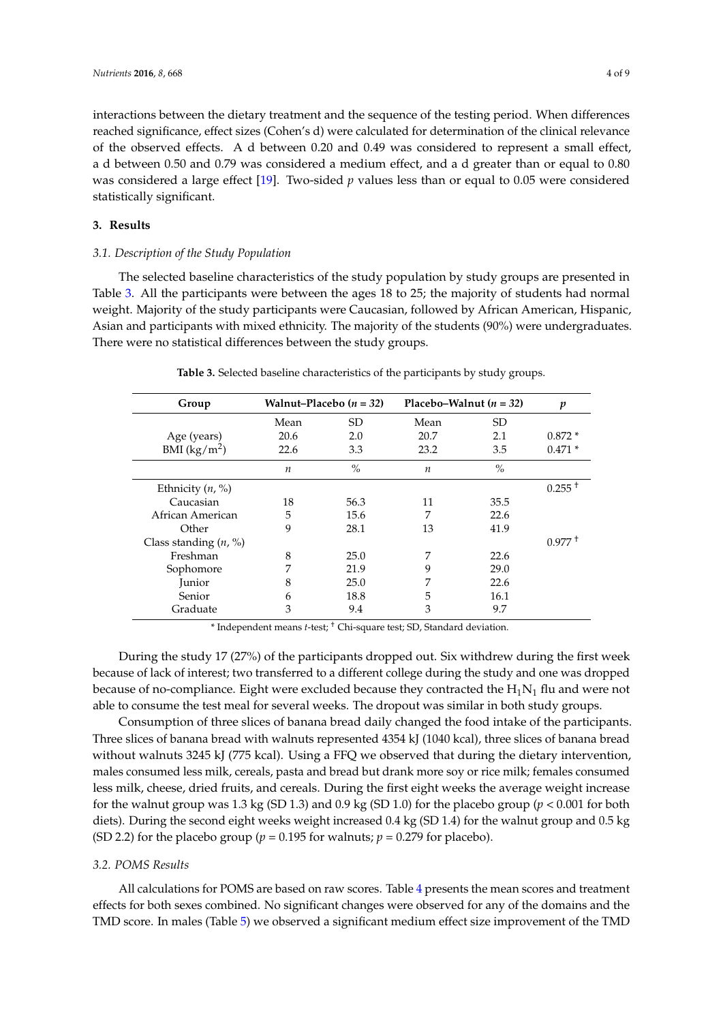interactions between the dietary treatment and the sequence of the testing period. When differences reached significance, effect sizes (Cohen's d) were calculated for determination of the clinical relevance of the observed effects. A d between 0.20 and 0.49 was considered to represent a small effect, a d between 0.50 and 0.79 was considered a medium effect, and a d greater than or equal to 0.80 was considered a large effect [\[19\]](#page-7-12). Two-sided *p* values less than or equal to 0.05 were considered statistically significant.

## **3. Results**

#### *3.1. Description of the Study Population*

The selected baseline characteristics of the study population by study groups are presented in Table [3.](#page-3-0) All the participants were between the ages 18 to 25; the majority of students had normal weight. Majority of the study participants were Caucasian, followed by African American, Hispanic, Asian and participants with mixed ethnicity. The majority of the students (90%) were undergraduates. There were no statistical differences between the study groups.

<span id="page-3-0"></span>

| Group                   | Walnut–Placebo $(n = 32)$ |           | Placebo–Walnut $(n = 32)$ |           | p                    |
|-------------------------|---------------------------|-----------|---------------------------|-----------|----------------------|
|                         | Mean                      | <b>SD</b> | Mean                      | <b>SD</b> |                      |
| Age (years)             | 20.6                      | 2.0       | 20.7                      | 2.1       | $0.872*$             |
| BMI $(kg/m^2)$          | 22.6                      | 3.3       | 23.2                      | 3.5       | $0.471*$             |
|                         | $\boldsymbol{n}$          | $\%$      | $\boldsymbol{n}$          | $\%$      |                      |
| Ethnicity $(n, %)$      |                           |           |                           |           | $0.255$ <sup>+</sup> |
| Caucasian               | 18                        | 56.3      | 11                        | 35.5      |                      |
| African American        | 5                         | 15.6      | 7                         | 22.6      |                      |
| Other                   | 9                         | 28.1      | 13                        | 41.9      |                      |
| Class standing $(n, %)$ |                           |           |                           |           | $0.977 +$            |
| Freshman                | 8                         | 25.0      | 7                         | 22.6      |                      |
| Sophomore               | 7                         | 21.9      | 9                         | 29.0      |                      |
| Junior                  | 8                         | 25.0      | 7                         | 22.6      |                      |
| Senior                  | 6                         | 18.8      | 5                         | 16.1      |                      |
| Graduate                | 3                         | 9.4       | 3                         | 9.7       |                      |

**Table 3.** Selected baseline characteristics of the participants by study groups.

\* Independent means *t*-test; † Chi-square test; SD, Standard deviation.

During the study 17 (27%) of the participants dropped out. Six withdrew during the first week because of lack of interest; two transferred to a different college during the study and one was dropped because of no-compliance. Eight were excluded because they contracted the  $H_1N_1$  flu and were not able to consume the test meal for several weeks. The dropout was similar in both study groups.

Consumption of three slices of banana bread daily changed the food intake of the participants. Three slices of banana bread with walnuts represented 4354 kJ (1040 kcal), three slices of banana bread without walnuts 3245 kJ (775 kcal). Using a FFQ we observed that during the dietary intervention, males consumed less milk, cereals, pasta and bread but drank more soy or rice milk; females consumed less milk, cheese, dried fruits, and cereals. During the first eight weeks the average weight increase for the walnut group was 1.3 kg (SD 1.3) and 0.9 kg (SD 1.0) for the placebo group ( $p < 0.001$  for both diets). During the second eight weeks weight increased 0.4 kg (SD 1.4) for the walnut group and 0.5 kg (SD 2.2) for the placebo group ( $p = 0.195$  for walnuts;  $p = 0.279$  for placebo).

#### *3.2. POMS Results*

All calculations for POMS are based on raw scores. Table [4](#page-4-0) presents the mean scores and treatment effects for both sexes combined. No significant changes were observed for any of the domains and the TMD score. In males (Table [5\)](#page-4-1) we observed a significant medium effect size improvement of the TMD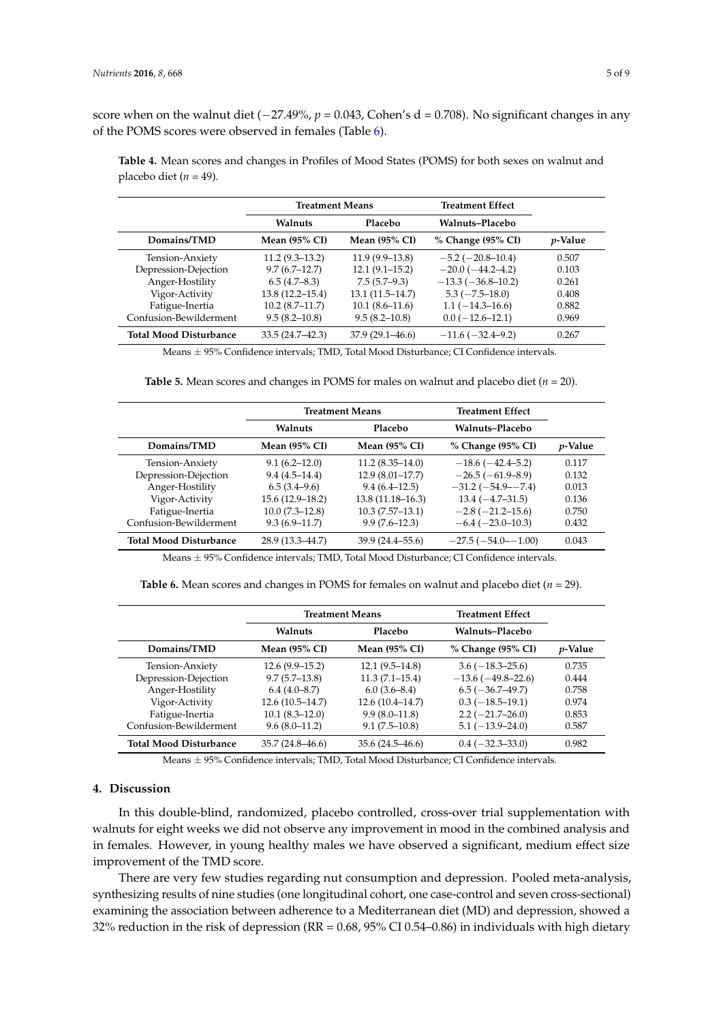score when on the walnut diet (−27.49%, *p* = 0.043, Cohen's d = 0.708). No significant changes in any of the POMS scores were observed in females (Table [6\)](#page-4-2).

<span id="page-4-0"></span>**Table 4.** Mean scores and changes in Profiles of Mood States (POMS) for both sexes on walnut and placebo diet ( $n = 49$ ).

|                               | <b>Treatment Means</b> |                      | <b>Treatment Effect</b> |                 |
|-------------------------------|------------------------|----------------------|-------------------------|-----------------|
|                               | Walnuts                | Placebo              | Walnuts-Placebo         |                 |
| Domains/TMD                   | Mean $(95\%$ CI)       | <b>Mean (95% CI)</b> | % Change (95% CI)       | <i>p</i> -Value |
| Tension-Anxiety               | $11.2(9.3-13.2)$       | $11.9(9.9-13.8)$     | $-5.2$ ( $-20.8-10.4$ ) | 0.507           |
| Depression-Dejection          | $9.7(6.7-12.7)$        | $12.1(9.1-15.2)$     | $-20.0(-44.2-4.2)$      | 0.103           |
| Anger-Hostility               | 6.5(4.7–8.3)           | $7.5(5.7-9.3)$       | $-13.3(-36.8-10.2)$     | 0.261           |
| Vigor-Activity                | $13.8(12.2 - 15.4)$    | $13.1(11.5-14.7)$    | $5.3(-7.5-18.0)$        | 0.408           |
| Fatigue-Inertia               | $10.2(8.7-11.7)$       | $10.1(8.6-11.6)$     | $1.1(-14.3-16.6)$       | 0.882           |
| Confusion-Bewilderment        | $9.5(8.2 - 10.8)$      | $9.5(8.2 - 10.8)$    | $0.0 (-12.6 - 12.1)$    | 0.969           |
| <b>Total Mood Disturbance</b> | $33.5(24.7 - 42.3)$    | $37.9(29.1 - 46.6)$  | $-11.6(-32.4-9.2)$      | 0.267           |

Means ± 95% Confidence intervals; TMD, Total Mood Disturbance; CI Confidence intervals.

**Table 5.** Mean scores and changes in POMS for males on walnut and placebo diet ( $n = 20$ ).

<span id="page-4-1"></span>

|                               | <b>Treatment Means</b>   |                          | <b>Treatment Effect</b> |                 |
|-------------------------------|--------------------------|--------------------------|-------------------------|-----------------|
|                               | Walnuts                  | Placebo                  | Walnuts-Placebo         |                 |
| Domains/TMD                   | Mean $(95\% \text{ CI})$ | Mean $(95\% \text{ CI})$ | % Change (95% CI)       | <i>p</i> -Value |
| Tension-Anxiety               | $9.1(6.2 - 12.0)$        | $11.2(8.35-14.0)$        | $-18.6(-42.4-5.2)$      | 0.117           |
| Depression-Dejection          | $9.4(4.5-14.4)$          | $12.9(8.01-17.7)$        | $-26.5(-61.9-8.9)$      | 0.132           |
| Anger-Hostility               | $6.5(3.4-9.6)$           | $9.4(6.4-12.5)$          | $-31.2(-54.9 - -7.4)$   | 0.013           |
| Vigor-Activity                | $15.6(12.9-18.2)$        | $13.8(11.18 - 16.3)$     | $13.4(-4.7-31.5)$       | 0.136           |
| Fatigue-Inertia               | $10.0(7.3-12.8)$         | $10.3(7.57-13.1)$        | $-2.8(-21.2-15.6)$      | 0.750           |
| Confusion-Bewilderment        | $9.3(6.9 - 11.7)$        | $9.9(7.6-12.3)$          | $-6.4 (-23.0 - 10.3)$   | 0.432           |
| <b>Total Mood Disturbance</b> | 28.9 (13.3–44.7)         | $39.9(24.4 - 55.6)$      | $-27.5(-54.0 - 1.00)$   | 0.043           |

Means ± 95% Confidence intervals; TMD, Total Mood Disturbance; CI Confidence intervals.

**Table 6.** Mean scores and changes in POMS for females on walnut and placebo diet  $(n = 29)$ .

<span id="page-4-2"></span>

|                               | <b>Treatment Means</b> |                      | <b>Treatment Effect</b> |                 |
|-------------------------------|------------------------|----------------------|-------------------------|-----------------|
|                               | Walnuts                | Placebo              | Walnuts-Placebo         |                 |
| Domains/TMD                   | <b>Mean (95% CI)</b>   | <b>Mean (95% CI)</b> | % Change (95% CI)       | <i>p</i> -Value |
| Tension-Anxiety               | $12.6(9.9-15.2)$       | $12.1(9.5-14.8)$     | $3.6(-18.3-25.6)$       | 0.735           |
| Depression-Dejection          | $9.7(5.7-13.8)$        | $11.3(7.1-15.4)$     | $-13.6(-49.8-22.6)$     | 0.444           |
| Anger-Hostility               | $6.4(4.0-8.7)$         | $6.0(3.6-8.4)$       | $6.5(-36.7-49.7)$       | 0.758           |
| Vigor-Activity                | $12.6(10.5-14.7)$      | $12.6(10.4-14.7)$    | $0.3(-18.5-19.1)$       | 0.974           |
| Fatigue-Inertia               | $10.1(8.3-12.0)$       | $9.9(8.0-11.8)$      | $2.2 (-21.7 - 26.0)$    | 0.853           |
| Confusion-Bewilderment        | $9.6(8.0-11.2)$        | $9.1(7.5-10.8)$      | $5.1(-13.9-24.0)$       | 0.587           |
| <b>Total Mood Disturbance</b> | $35.7(24.8-46.6)$      | $35.6(24.5-46.6)$    | $0.4(-32.3-33.0)$       | 0.982           |

Means ± 95% Confidence intervals; TMD, Total Mood Disturbance; CI Confidence intervals.

## **4. Discussion**

In this double-blind, randomized, placebo controlled, cross-over trial supplementation with walnuts for eight weeks we did not observe any improvement in mood in the combined analysis and in females. However, in young healthy males we have observed a significant, medium effect size improvement of the TMD score.

There are very few studies regarding nut consumption and depression. Pooled meta-analysis, synthesizing results of nine studies (one longitudinal cohort, one case-control and seven cross-sectional) examining the association between adherence to a Mediterranean diet (MD) and depression, showed a 32% reduction in the risk of depression (RR = 0.68, 95% CI 0.54–0.86) in individuals with high dietary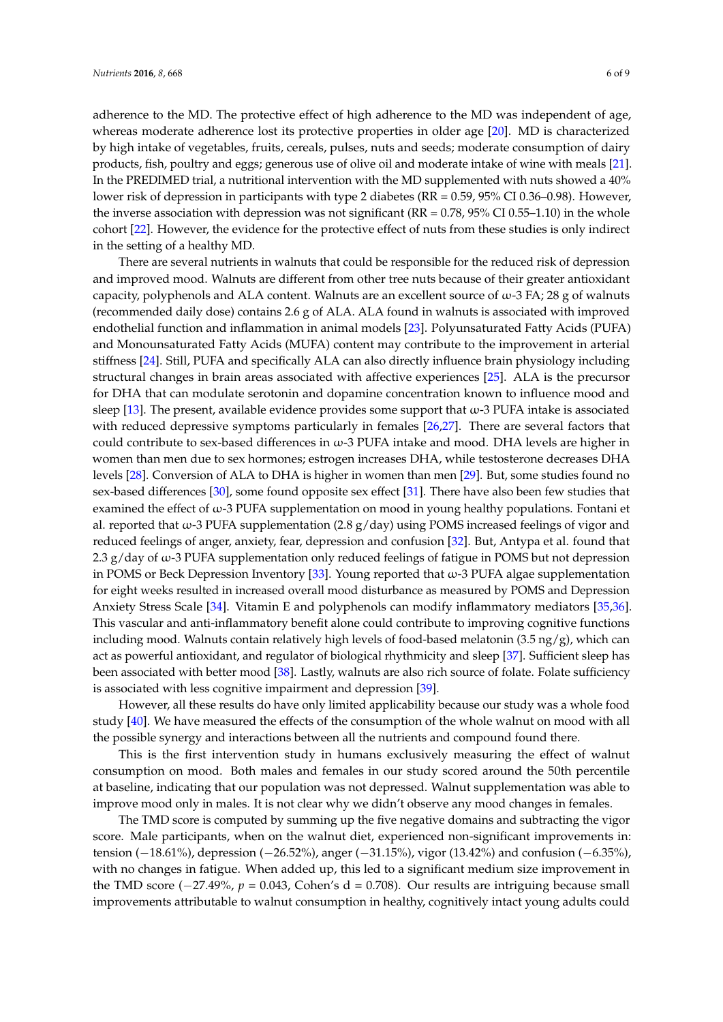adherence to the MD. The protective effect of high adherence to the MD was independent of age, whereas moderate adherence lost its protective properties in older age [\[20\]](#page-7-13). MD is characterized by high intake of vegetables, fruits, cereals, pulses, nuts and seeds; moderate consumption of dairy products, fish, poultry and eggs; generous use of olive oil and moderate intake of wine with meals [\[21\]](#page-7-14). In the PREDIMED trial, a nutritional intervention with the MD supplemented with nuts showed a 40% lower risk of depression in participants with type 2 diabetes (RR = 0.59, 95% CI 0.36–0.98). However, the inverse association with depression was not significant ( $RR = 0.78$ ,  $95\%$  CI 0.55–1.10) in the whole cohort [\[22\]](#page-7-15). However, the evidence for the protective effect of nuts from these studies is only indirect in the setting of a healthy MD.

There are several nutrients in walnuts that could be responsible for the reduced risk of depression and improved mood. Walnuts are different from other tree nuts because of their greater antioxidant capacity, polyphenols and ALA content. Walnuts are an excellent source of  $\omega$ -3 FA; 28 g of walnuts (recommended daily dose) contains 2.6 g of ALA. ALA found in walnuts is associated with improved endothelial function and inflammation in animal models [\[23\]](#page-7-16). Polyunsaturated Fatty Acids (PUFA) and Monounsaturated Fatty Acids (MUFA) content may contribute to the improvement in arterial stiffness [\[24\]](#page-7-17). Still, PUFA and specifically ALA can also directly influence brain physiology including structural changes in brain areas associated with affective experiences [\[25\]](#page-7-18). ALA is the precursor for DHA that can modulate serotonin and dopamine concentration known to influence mood and sleep [\[13\]](#page-7-6). The present, available evidence provides some support that  $\omega$ -3 PUFA intake is associated with reduced depressive symptoms particularly in females [\[26](#page-7-19)[,27\]](#page-7-20). There are several factors that could contribute to sex-based differences in  $\omega$ -3 PUFA intake and mood. DHA levels are higher in women than men due to sex hormones; estrogen increases DHA, while testosterone decreases DHA levels [\[28\]](#page-7-21). Conversion of ALA to DHA is higher in women than men [\[29\]](#page-7-22). But, some studies found no sex-based differences [\[30\]](#page-8-0), some found opposite sex effect [\[31\]](#page-8-1). There have also been few studies that examined the effect of ω-3 PUFA supplementation on mood in young healthy populations. Fontani et al. reported that  $\omega$ -3 PUFA supplementation (2.8 g/day) using POMS increased feelings of vigor and reduced feelings of anger, anxiety, fear, depression and confusion [\[32\]](#page-8-2). But, Antypa et al. found that 2.3 g/day of ω-3 PUFA supplementation only reduced feelings of fatigue in POMS but not depression in POMS or Beck Depression Inventory [\[33\]](#page-8-3). Young reported that  $\omega$ -3 PUFA algae supplementation for eight weeks resulted in increased overall mood disturbance as measured by POMS and Depression Anxiety Stress Scale [\[34\]](#page-8-4). Vitamin E and polyphenols can modify inflammatory mediators [\[35,](#page-8-5)[36\]](#page-8-6). This vascular and anti-inflammatory benefit alone could contribute to improving cognitive functions including mood. Walnuts contain relatively high levels of food-based melatonin  $(3.5 \text{ ng/g})$ , which can act as powerful antioxidant, and regulator of biological rhythmicity and sleep [\[37\]](#page-8-7). Sufficient sleep has been associated with better mood [\[38\]](#page-8-8). Lastly, walnuts are also rich source of folate. Folate sufficiency is associated with less cognitive impairment and depression [\[39\]](#page-8-9).

However, all these results do have only limited applicability because our study was a whole food study [\[40\]](#page-8-10). We have measured the effects of the consumption of the whole walnut on mood with all the possible synergy and interactions between all the nutrients and compound found there.

This is the first intervention study in humans exclusively measuring the effect of walnut consumption on mood. Both males and females in our study scored around the 50th percentile at baseline, indicating that our population was not depressed. Walnut supplementation was able to improve mood only in males. It is not clear why we didn't observe any mood changes in females.

The TMD score is computed by summing up the five negative domains and subtracting the vigor score. Male participants, when on the walnut diet, experienced non-significant improvements in: tension (−18.61%), depression (−26.52%), anger (−31.15%), vigor (13.42%) and confusion (−6.35%), with no changes in fatigue. When added up, this led to a significant medium size improvement in the TMD score ( $-27.49\%$ ,  $p = 0.043$ , Cohen's d = 0.708). Our results are intriguing because small improvements attributable to walnut consumption in healthy, cognitively intact young adults could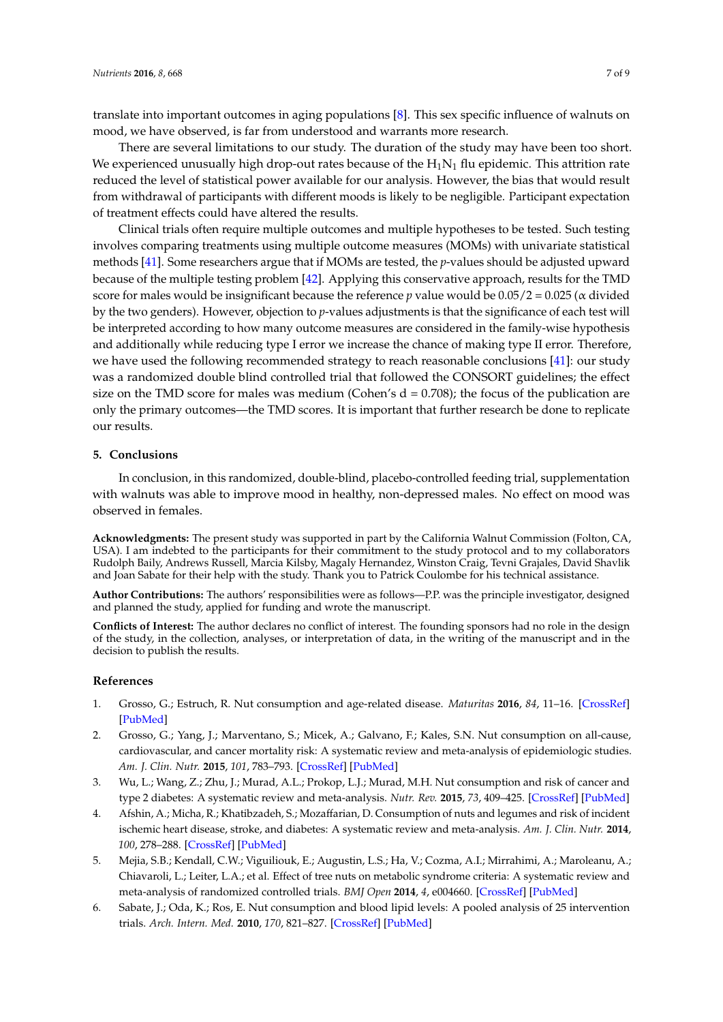translate into important outcomes in aging populations [\[8\]](#page-7-1). This sex specific influence of walnuts on mood, we have observed, is far from understood and warrants more research.

There are several limitations to our study. The duration of the study may have been too short. We experienced unusually high drop-out rates because of the  $H_1N_1$  flu epidemic. This attrition rate reduced the level of statistical power available for our analysis. However, the bias that would result from withdrawal of participants with different moods is likely to be negligible. Participant expectation of treatment effects could have altered the results.

Clinical trials often require multiple outcomes and multiple hypotheses to be tested. Such testing involves comparing treatments using multiple outcome measures (MOMs) with univariate statistical methods [\[41\]](#page-8-11). Some researchers argue that if MOMs are tested, the *p*-values should be adjusted upward because of the multiple testing problem [\[42\]](#page-8-12). Applying this conservative approach, results for the TMD score for males would be insignificant because the reference *p* value would be  $0.05/2 = 0.025$  ( $\alpha$  divided by the two genders). However, objection to *p*-values adjustments is that the significance of each test will be interpreted according to how many outcome measures are considered in the family-wise hypothesis and additionally while reducing type I error we increase the chance of making type II error. Therefore, we have used the following recommended strategy to reach reasonable conclusions [\[41\]](#page-8-11): our study was a randomized double blind controlled trial that followed the CONSORT guidelines; the effect size on the TMD score for males was medium (Cohen's  $d = 0.708$ ); the focus of the publication are only the primary outcomes—the TMD scores. It is important that further research be done to replicate our results.

### **5. Conclusions**

In conclusion, in this randomized, double-blind, placebo-controlled feeding trial, supplementation with walnuts was able to improve mood in healthy, non-depressed males. No effect on mood was observed in females.

**Acknowledgments:** The present study was supported in part by the California Walnut Commission (Folton, CA, USA). I am indebted to the participants for their commitment to the study protocol and to my collaborators Rudolph Baily, Andrews Russell, Marcia Kilsby, Magaly Hernandez, Winston Craig, Tevni Grajales, David Shavlik and Joan Sabate for their help with the study. Thank you to Patrick Coulombe for his technical assistance.

**Author Contributions:** The authors' responsibilities were as follows—P.P. was the principle investigator, designed and planned the study, applied for funding and wrote the manuscript.

**Conflicts of Interest:** The author declares no conflict of interest. The founding sponsors had no role in the design of the study, in the collection, analyses, or interpretation of data, in the writing of the manuscript and in the decision to publish the results.

### **References**

- <span id="page-6-0"></span>1. Grosso, G.; Estruch, R. Nut consumption and age-related disease. *Maturitas* **2016**, *84*, 11–16. [\[CrossRef\]](http://dx.doi.org/10.1016/j.maturitas.2015.10.014) [\[PubMed\]](http://www.ncbi.nlm.nih.gov/pubmed/26586104)
- 2. Grosso, G.; Yang, J.; Marventano, S.; Micek, A.; Galvano, F.; Kales, S.N. Nut consumption on all-cause, cardiovascular, and cancer mortality risk: A systematic review and meta-analysis of epidemiologic studies. *Am. J. Clin. Nutr.* **2015**, *101*, 783–793. [\[CrossRef\]](http://dx.doi.org/10.3945/ajcn.114.099515) [\[PubMed\]](http://www.ncbi.nlm.nih.gov/pubmed/25833976)
- 3. Wu, L.; Wang, Z.; Zhu, J.; Murad, A.L.; Prokop, L.J.; Murad, M.H. Nut consumption and risk of cancer and type 2 diabetes: A systematic review and meta-analysis. *Nutr. Rev.* **2015**, *73*, 409–425. [\[CrossRef\]](http://dx.doi.org/10.1093/nutrit/nuv006) [\[PubMed\]](http://www.ncbi.nlm.nih.gov/pubmed/26081452)
- 4. Afshin, A.; Micha, R.; Khatibzadeh, S.; Mozaffarian, D. Consumption of nuts and legumes and risk of incident ischemic heart disease, stroke, and diabetes: A systematic review and meta-analysis. *Am. J. Clin. Nutr.* **2014**, *100*, 278–288. [\[CrossRef\]](http://dx.doi.org/10.3945/ajcn.113.076901) [\[PubMed\]](http://www.ncbi.nlm.nih.gov/pubmed/24898241)
- 5. Mejia, S.B.; Kendall, C.W.; Viguiliouk, E.; Augustin, L.S.; Ha, V.; Cozma, A.I.; Mirrahimi, A.; Maroleanu, A.; Chiavaroli, L.; Leiter, L.A.; et al. Effect of tree nuts on metabolic syndrome criteria: A systematic review and meta-analysis of randomized controlled trials. *BMJ Open* **2014**, *4*, e004660. [\[CrossRef\]](http://dx.doi.org/10.1136/bmjopen-2013-004660) [\[PubMed\]](http://www.ncbi.nlm.nih.gov/pubmed/25074070)
- 6. Sabate, J.; Oda, K.; Ros, E. Nut consumption and blood lipid levels: A pooled analysis of 25 intervention trials. *Arch. Intern. Med.* **2010**, *170*, 821–827. [\[CrossRef\]](http://dx.doi.org/10.1001/archinternmed.2010.79) [\[PubMed\]](http://www.ncbi.nlm.nih.gov/pubmed/20458092)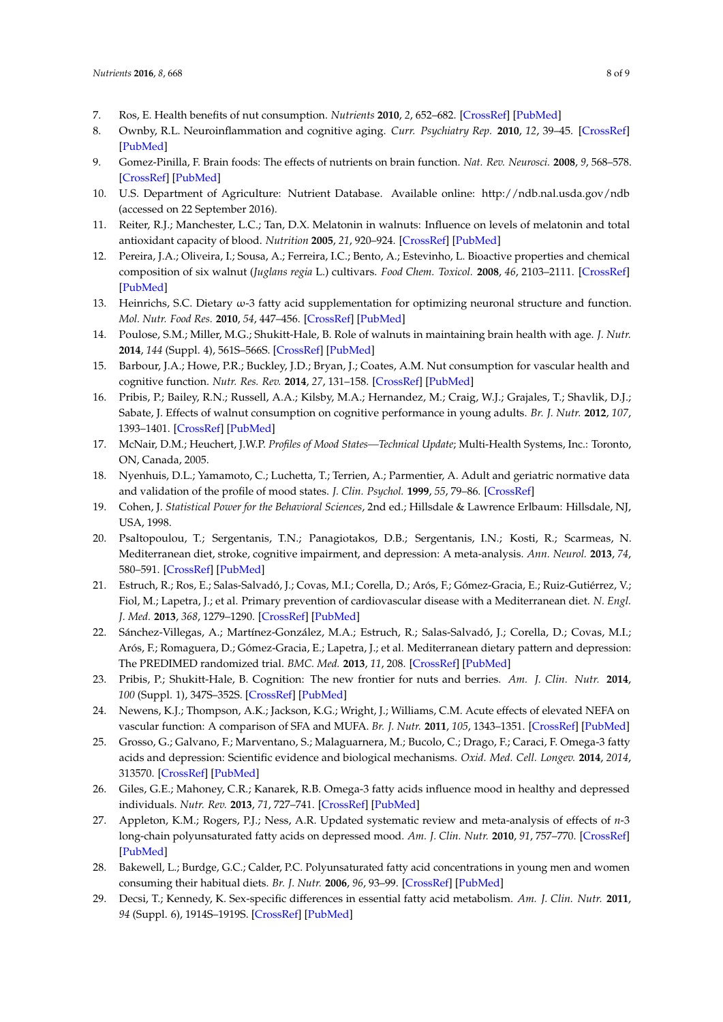- <span id="page-7-0"></span>7. Ros, E. Health benefits of nut consumption. *Nutrients* **2010**, *2*, 652–682. [\[CrossRef\]](http://dx.doi.org/10.3390/nu2070652) [\[PubMed\]](http://www.ncbi.nlm.nih.gov/pubmed/22254047)
- <span id="page-7-1"></span>8. Ownby, R.L. Neuroinflammation and cognitive aging. *Curr. Psychiatry Rep.* **2010**, *12*, 39–45. [\[CrossRef\]](http://dx.doi.org/10.1007/s11920-009-0082-1) [\[PubMed\]](http://www.ncbi.nlm.nih.gov/pubmed/20425309)
- <span id="page-7-2"></span>9. Gomez-Pinilla, F. Brain foods: The effects of nutrients on brain function. *Nat. Rev. Neurosci.* **2008**, *9*, 568–578. [\[CrossRef\]](http://dx.doi.org/10.1038/nrn2421) [\[PubMed\]](http://www.ncbi.nlm.nih.gov/pubmed/18568016)
- <span id="page-7-3"></span>10. U.S. Department of Agriculture: Nutrient Database. Available online: <http://ndb.nal.usda.gov/ndb> (accessed on 22 September 2016).
- <span id="page-7-4"></span>11. Reiter, R.J.; Manchester, L.C.; Tan, D.X. Melatonin in walnuts: Influence on levels of melatonin and total antioxidant capacity of blood. *Nutrition* **2005**, *21*, 920–924. [\[CrossRef\]](http://dx.doi.org/10.1016/j.nut.2005.02.005) [\[PubMed\]](http://www.ncbi.nlm.nih.gov/pubmed/15979282)
- <span id="page-7-5"></span>12. Pereira, J.A.; Oliveira, I.; Sousa, A.; Ferreira, I.C.; Bento, A.; Estevinho, L. Bioactive properties and chemical composition of six walnut (*Juglans regia* L.) cultivars. *Food Chem. Toxicol.* **2008**, *46*, 2103–2111. [\[CrossRef\]](http://dx.doi.org/10.1016/j.fct.2008.02.002) [\[PubMed\]](http://www.ncbi.nlm.nih.gov/pubmed/18334279)
- <span id="page-7-6"></span>13. Heinrichs, S.C. Dietary ω-3 fatty acid supplementation for optimizing neuronal structure and function. *Mol. Nutr. Food Res.* **2010**, *54*, 447–456. [\[CrossRef\]](http://dx.doi.org/10.1002/mnfr.200900201) [\[PubMed\]](http://www.ncbi.nlm.nih.gov/pubmed/20112300)
- <span id="page-7-7"></span>14. Poulose, S.M.; Miller, M.G.; Shukitt-Hale, B. Role of walnuts in maintaining brain health with age. *J. Nutr.* **2014**, *144* (Suppl. 4), 561S–566S. [\[CrossRef\]](http://dx.doi.org/10.3945/jn.113.184838) [\[PubMed\]](http://www.ncbi.nlm.nih.gov/pubmed/24500933)
- <span id="page-7-8"></span>15. Barbour, J.A.; Howe, P.R.; Buckley, J.D.; Bryan, J.; Coates, A.M. Nut consumption for vascular health and cognitive function. *Nutr. Res. Rev.* **2014**, *27*, 131–158. [\[CrossRef\]](http://dx.doi.org/10.1017/S0954422414000079) [\[PubMed\]](http://www.ncbi.nlm.nih.gov/pubmed/24866624)
- <span id="page-7-9"></span>16. Pribis, P.; Bailey, R.N.; Russell, A.A.; Kilsby, M.A.; Hernandez, M.; Craig, W.J.; Grajales, T.; Shavlik, D.J.; Sabate, J. Effects of walnut consumption on cognitive performance in young adults. *Br. J. Nutr.* **2012**, *107*, 1393–1401. [\[CrossRef\]](http://dx.doi.org/10.1017/S0007114511004302) [\[PubMed\]](http://www.ncbi.nlm.nih.gov/pubmed/21923981)
- <span id="page-7-10"></span>17. McNair, D.M.; Heuchert, J.W.P. *Profiles of Mood States—Technical Update*; Multi-Health Systems, Inc.: Toronto, ON, Canada, 2005.
- <span id="page-7-11"></span>18. Nyenhuis, D.L.; Yamamoto, C.; Luchetta, T.; Terrien, A.; Parmentier, A. Adult and geriatric normative data and validation of the profile of mood states. *J. Clin. Psychol.* **1999**, *55*, 79–86. [\[CrossRef\]](http://dx.doi.org/10.1002/(SICI)1097-4679(199901)55:1<79::AID-JCLP8>3.0.CO;2-7)
- <span id="page-7-12"></span>19. Cohen, J. *Statistical Power for the Behavioral Sciences*, 2nd ed.; Hillsdale & Lawrence Erlbaum: Hillsdale, NJ, USA, 1998.
- <span id="page-7-13"></span>20. Psaltopoulou, T.; Sergentanis, T.N.; Panagiotakos, D.B.; Sergentanis, I.N.; Kosti, R.; Scarmeas, N. Mediterranean diet, stroke, cognitive impairment, and depression: A meta-analysis. *Ann. Neurol.* **2013**, *74*, 580–591. [\[CrossRef\]](http://dx.doi.org/10.1002/ana.23944) [\[PubMed\]](http://www.ncbi.nlm.nih.gov/pubmed/23720230)
- <span id="page-7-14"></span>21. Estruch, R.; Ros, E.; Salas-Salvadó, J.; Covas, M.I.; Corella, D.; Arós, F.; Gómez-Gracia, E.; Ruiz-Gutiérrez, V.; Fiol, M.; Lapetra, J.; et al. Primary prevention of cardiovascular disease with a Mediterranean diet. *N. Engl. J. Med.* **2013**, *368*, 1279–1290. [\[CrossRef\]](http://dx.doi.org/10.1056/NEJMoa1200303) [\[PubMed\]](http://www.ncbi.nlm.nih.gov/pubmed/23432189)
- <span id="page-7-15"></span>22. Sánchez-Villegas, A.; Martínez-González, M.A.; Estruch, R.; Salas-Salvadó, J.; Corella, D.; Covas, M.I.; Arós, F.; Romaguera, D.; Gómez-Gracia, E.; Lapetra, J.; et al. Mediterranean dietary pattern and depression: The PREDIMED randomized trial. *BMC. Med.* **2013**, *11*, 208. [\[CrossRef\]](http://dx.doi.org/10.1186/1741-7015-11-208) [\[PubMed\]](http://www.ncbi.nlm.nih.gov/pubmed/24229349)
- <span id="page-7-16"></span>23. Pribis, P.; Shukitt-Hale, B. Cognition: The new frontier for nuts and berries. *Am. J. Clin. Nutr.* **2014**, *100* (Suppl. 1), 347S–352S. [\[CrossRef\]](http://dx.doi.org/10.3945/ajcn.113.071506) [\[PubMed\]](http://www.ncbi.nlm.nih.gov/pubmed/24871475)
- <span id="page-7-17"></span>24. Newens, K.J.; Thompson, A.K.; Jackson, K.G.; Wright, J.; Williams, C.M. Acute effects of elevated NEFA on vascular function: A comparison of SFA and MUFA. *Br. J. Nutr.* **2011**, *105*, 1343–1351. [\[CrossRef\]](http://dx.doi.org/10.1017/S0007114510004976) [\[PubMed\]](http://www.ncbi.nlm.nih.gov/pubmed/21205374)
- <span id="page-7-18"></span>25. Grosso, G.; Galvano, F.; Marventano, S.; Malaguarnera, M.; Bucolo, C.; Drago, F.; Caraci, F. Omega-3 fatty acids and depression: Scientific evidence and biological mechanisms. *Oxid. Med. Cell. Longev.* **2014**, *2014*, 313570. [\[CrossRef\]](http://dx.doi.org/10.1155/2014/313570) [\[PubMed\]](http://www.ncbi.nlm.nih.gov/pubmed/24757497)
- <span id="page-7-19"></span>26. Giles, G.E.; Mahoney, C.R.; Kanarek, R.B. Omega-3 fatty acids influence mood in healthy and depressed individuals. *Nutr. Rev.* **2013**, *71*, 727–741. [\[CrossRef\]](http://dx.doi.org/10.1111/nure.12066) [\[PubMed\]](http://www.ncbi.nlm.nih.gov/pubmed/24447198)
- <span id="page-7-20"></span>27. Appleton, K.M.; Rogers, P.J.; Ness, A.R. Updated systematic review and meta-analysis of effects of *n*-3 long-chain polyunsaturated fatty acids on depressed mood. *Am. J. Clin. Nutr.* **2010**, *91*, 757–770. [\[CrossRef\]](http://dx.doi.org/10.3945/ajcn.2009.28313) [\[PubMed\]](http://www.ncbi.nlm.nih.gov/pubmed/20130098)
- <span id="page-7-21"></span>28. Bakewell, L.; Burdge, G.C.; Calder, P.C. Polyunsaturated fatty acid concentrations in young men and women consuming their habitual diets. *Br. J. Nutr.* **2006**, *96*, 93–99. [\[CrossRef\]](http://dx.doi.org/10.1079/BJN20061801) [\[PubMed\]](http://www.ncbi.nlm.nih.gov/pubmed/16869996)
- <span id="page-7-22"></span>29. Decsi, T.; Kennedy, K. Sex-specific differences in essential fatty acid metabolism. *Am. J. Clin. Nutr.* **2011**, *94* (Suppl. 6), 1914S–1919S. [\[CrossRef\]](http://dx.doi.org/10.3945/ajcn.110.000893) [\[PubMed\]](http://www.ncbi.nlm.nih.gov/pubmed/22089435)